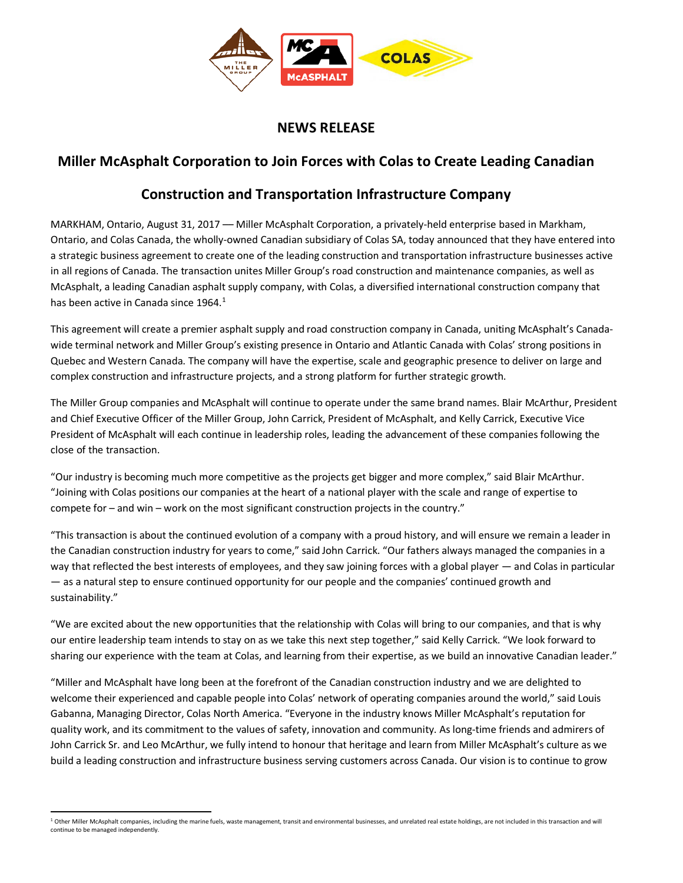

## **NEWS RELEASE**

## **Miller McAsphalt Corporation to Join Forces with Colas to Create Leading Canadian**

## **Construction and Transportation Infrastructure Company**

MARKHAM, Ontario, August 31, 2017 –– Miller McAsphalt Corporation, a privately-held enterprise based in Markham, Ontario, and Colas Canada, the wholly-owned Canadian subsidiary of Colas SA, today announced that they have entered into a strategic business agreement to create one of the leading construction and transportation infrastructure businesses active in all regions of Canada. The transaction unites Miller Group's road construction and maintenance companies, as well as McAsphalt, a leading Canadian asphalt supply company, with Colas, a diversified international construction company that has been active in Canada since [1](#page-0-0)964.<sup>1</sup>

This agreement will create a premier asphalt supply and road construction company in Canada, uniting McAsphalt's Canadawide terminal network and Miller Group's existing presence in Ontario and Atlantic Canada with Colas' strong positions in Quebec and Western Canada. The company will have the expertise, scale and geographic presence to deliver on large and complex construction and infrastructure projects, and a strong platform for further strategic growth.

The Miller Group companies and McAsphalt will continue to operate under the same brand names. Blair McArthur, President and Chief Executive Officer of the Miller Group, John Carrick, President of McAsphalt, and Kelly Carrick, Executive Vice President of McAsphalt will each continue in leadership roles, leading the advancement of these companies following the close of the transaction.

"Our industry is becoming much more competitive as the projects get bigger and more complex," said Blair McArthur. "Joining with Colas positions our companies at the heart of a national player with the scale and range of expertise to compete for – and win – work on the most significant construction projects in the country."

"This transaction is about the continued evolution of a company with a proud history, and will ensure we remain a leader in the Canadian construction industry for years to come," said John Carrick. "Our fathers always managed the companies in a way that reflected the best interests of employees, and they saw joining forces with a global player — and Colas in particular — as a natural step to ensure continued opportunity for our people and the companies' continued growth and sustainability."

"We are excited about the new opportunities that the relationship with Colas will bring to our companies, and that is why our entire leadership team intends to stay on as we take this next step together," said Kelly Carrick. "We look forward to sharing our experience with the team at Colas, and learning from their expertise, as we build an innovative Canadian leader."

"Miller and McAsphalt have long been at the forefront of the Canadian construction industry and we are delighted to welcome their experienced and capable people into Colas' network of operating companies around the world," said Louis Gabanna, Managing Director, Colas North America. "Everyone in the industry knows Miller McAsphalt's reputation for quality work, and its commitment to the values of safety, innovation and community. As long-time friends and admirers of John Carrick Sr. and Leo McArthur, we fully intend to honour that heritage and learn from Miller McAsphalt's culture as we build a leading construction and infrastructure business serving customers across Canada. Our vision is to continue to grow

<span id="page-0-0"></span><sup>&</sup>lt;sup>1</sup> Other Miller McAsphalt companies, including the marine fuels, waste management, transit and environmental businesses, and unrelated real estate holdings, are not included in this transaction and will continue to be managed independently.